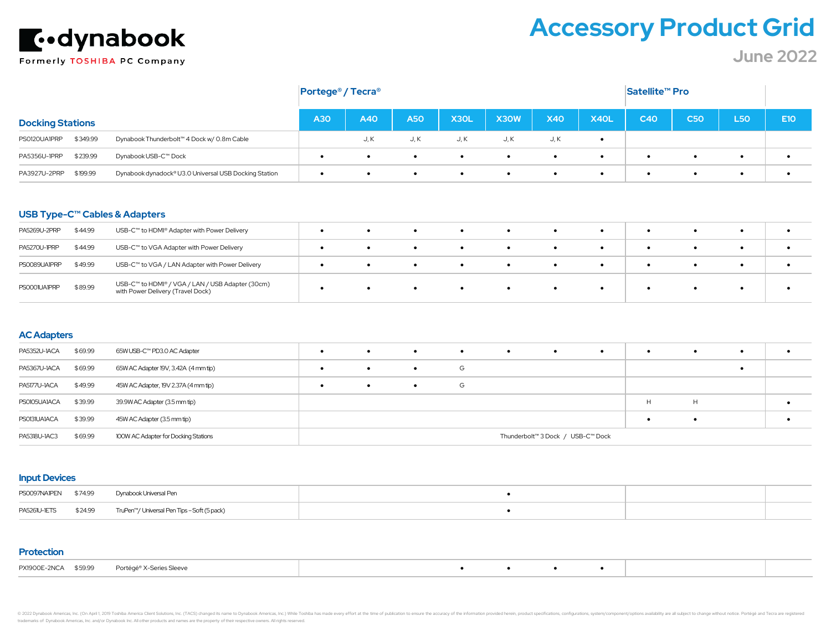

# **Accessory Product Grid**

**June 2022**

|                                                                                   | Satellite <sup>™</sup> Pro<br>Portege <sup>®</sup> / Tecra <sup>®</sup> |           |            |                   |           |            |           |           |            |           |            |
|-----------------------------------------------------------------------------------|-------------------------------------------------------------------------|-----------|------------|-------------------|-----------|------------|-----------|-----------|------------|-----------|------------|
| <b>Docking Stations</b>                                                           |                                                                         | A40       | <b>A50</b> | X <sub>3</sub> OL | X30W      | <b>X40</b> | X40L      | C40       | <b>C50</b> | L50       | <b>E10</b> |
| \$349.99<br>PS0120UA1PRP<br>Dynabook Thunderbolt™ 4 Dock w/ 0.8m Cable            |                                                                         | J, K      | J, K       | J, K              | J, K      | J, K       | $\bullet$ |           |            |           |            |
| \$239.99<br>PA5356U-IPRP<br>Dynabook USB-C™ Dock                                  | $\bullet$                                                               | $\bullet$ | $\bullet$  | $\bullet$         | $\bullet$ | $\bullet$  | $\bullet$ | $\bullet$ | $\bullet$  | $\bullet$ |            |
| \$199.99<br>PA3927U-2PRP<br>Dynabook dynadock® U3.0 Universal USB Docking Station | $\bullet$                                                               | $\bullet$ | $\bullet$  | $\bullet$         | $\bullet$ | $\bullet$  | $\bullet$ | $\bullet$ | $\bullet$  | $\bullet$ |            |

#### **USB Type-C™ Cables & Adapters**

| PA5269U-2PRP        | \$44.99 | USB-C™ to HDMI® Adapter with Power Delivery                                           |           | $\bullet$ |           | $\bullet$ |  | $\bullet$ |           |           |  |
|---------------------|---------|---------------------------------------------------------------------------------------|-----------|-----------|-----------|-----------|--|-----------|-----------|-----------|--|
| <b>PA5270U-IPRP</b> | \$44.99 | USB-C™ to VGA Adapter with Power Delivery                                             | $\bullet$ | $\bullet$ | $\bullet$ | $\bullet$ |  | $\bullet$ | $\bullet$ | $\bullet$ |  |
| PS0089UA1PRP        | \$49.99 | USB-C™ to VGA / LAN Adapter with Power Delivery                                       |           |           |           | $\bullet$ |  |           |           |           |  |
| PS0001UA1PRP        | \$89.99 | USB-C™ to HDMI® / VGA / LAN / USB Adapter (30cm)<br>with Power Delivery (Travel Dock) |           |           |           | $\bullet$ |  |           |           |           |  |

#### **AC Adapters**

| <b>PA5352U-1ACA</b> | \$69.99 | 65W USB-C™ PD3.0 AC Adapter          |           | $\bullet$ | $\bullet$ | $\bullet$ | $\bullet$ | $\bullet$                         | $\bullet$ |   | $\bullet$ | $\bullet$ |  |
|---------------------|---------|--------------------------------------|-----------|-----------|-----------|-----------|-----------|-----------------------------------|-----------|---|-----------|-----------|--|
| PA5367U-1ACA        | \$69.99 | 65W AC Adapter 19V, 3.42A (4 mm tip) |           | $\bullet$ |           | G         |           |                                   |           |   |           |           |  |
| PA5177U-1ACA        | \$49.99 | 45W AC Adapter, 19V 2.37A (4 mm tip) | $\bullet$ | $\bullet$ | $\bullet$ | G         |           |                                   |           |   |           |           |  |
| PS0105UA1ACA        | \$39.99 | 39.9W AC Adapter (3.5 mm tip)        |           |           |           |           |           |                                   |           | H | H         |           |  |
| PS0131UA1ACA        | \$39.99 | 45W AC Adapter (3.5 mm tip)          |           |           |           |           |           |                                   |           |   |           |           |  |
| PA5318U-1AC3        | \$69.99 | 100W AC Adapter for Docking Stations |           |           |           |           |           | Thunderbolt™ 3 Dock / USB-C™ Dock |           |   |           |           |  |

#### **Input Devices**

| PS0097NA1PEN \$74.99 |         | Dynabook Universal Pen                      |  |  |
|----------------------|---------|---------------------------------------------|--|--|
| PA5261U-1ETS         | \$24.99 | TruPen™/ Universal Pen Tips – Soft (5 pack) |  |  |

#### **Protection**

|  | PX1900E-2NCA \$59.99 Portégé® X-Series Sleeve |  |  |  |  |
|--|-----------------------------------------------|--|--|--|--|